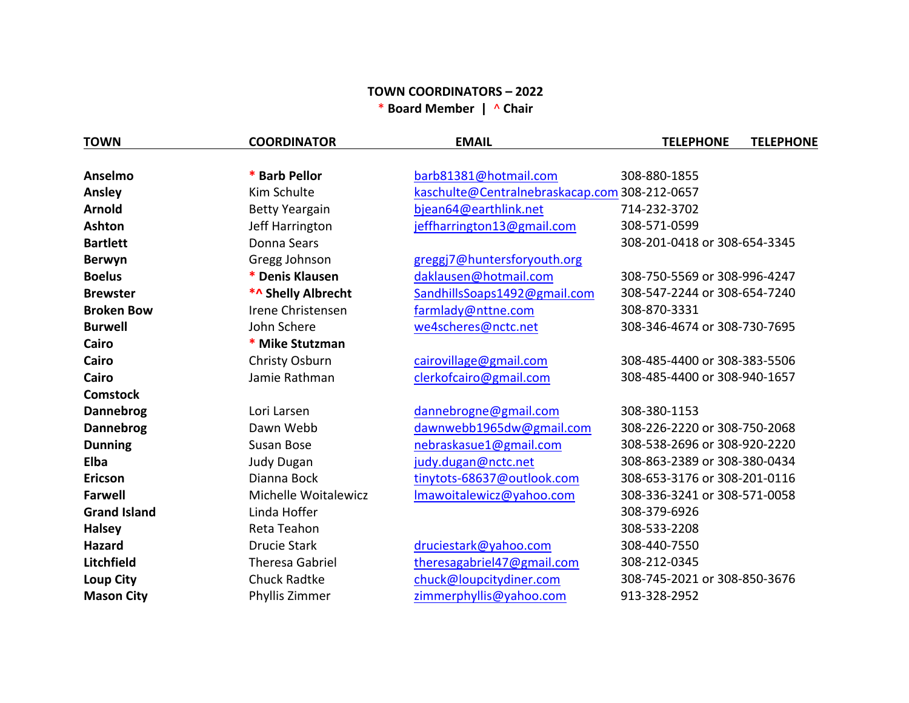## **TOWN COORDINATORS – 2022** \* **Board Member |** ^ **Chair**

| <b>TOWN</b>         | <b>COORDINATOR</b>     | <b>EMAIL</b>                                  | <b>TELEPHONE</b><br><b>TELEPHONE</b> |
|---------------------|------------------------|-----------------------------------------------|--------------------------------------|
|                     |                        |                                               |                                      |
| Anselmo             | * Barb Pellor          | barb81381@hotmail.com                         | 308-880-1855                         |
| Ansley              | Kim Schulte            | kaschulte@Centralnebraskacap.com 308-212-0657 |                                      |
| <b>Arnold</b>       | <b>Betty Yeargain</b>  | bjean64@earthlink.net                         | 714-232-3702                         |
| Ashton              | Jeff Harrington        | jeffharrington13@gmail.com                    | 308-571-0599                         |
| <b>Bartlett</b>     | Donna Sears            |                                               | 308-201-0418 or 308-654-3345         |
| <b>Berwyn</b>       | Gregg Johnson          | greggj7@huntersforyouth.org                   |                                      |
| <b>Boelus</b>       | * Denis Klausen        | daklausen@hotmail.com                         | 308-750-5569 or 308-996-4247         |
| <b>Brewster</b>     | *^ Shelly Albrecht     | SandhillsSoaps1492@gmail.com                  | 308-547-2244 or 308-654-7240         |
| <b>Broken Bow</b>   | Irene Christensen      | farmlady@nttne.com                            | 308-870-3331                         |
| <b>Burwell</b>      | John Schere            | we4scheres@nctc.net                           | 308-346-4674 or 308-730-7695         |
| Cairo               | * Mike Stutzman        |                                               |                                      |
| Cairo               | Christy Osburn         | cairovillage@gmail.com                        | 308-485-4400 or 308-383-5506         |
| Cairo               | Jamie Rathman          | clerkofcairo@gmail.com                        | 308-485-4400 or 308-940-1657         |
| <b>Comstock</b>     |                        |                                               |                                      |
| Dannebrog           | Lori Larsen            | dannebrogne@gmail.com                         | 308-380-1153                         |
| <b>Dannebrog</b>    | Dawn Webb              | dawnwebb1965dw@gmail.com                      | 308-226-2220 or 308-750-2068         |
| <b>Dunning</b>      | Susan Bose             | nebraskasue1@gmail.com                        | 308-538-2696 or 308-920-2220         |
| Elba                | <b>Judy Dugan</b>      | judy.dugan@nctc.net                           | 308-863-2389 or 308-380-0434         |
| <b>Ericson</b>      | Dianna Bock            | tinytots-68637@outlook.com                    | 308-653-3176 or 308-201-0116         |
| <b>Farwell</b>      | Michelle Woitalewicz   | Imawoitalewicz@yahoo.com                      | 308-336-3241 or 308-571-0058         |
| <b>Grand Island</b> | Linda Hoffer           |                                               | 308-379-6926                         |
| <b>Halsey</b>       | Reta Teahon            |                                               | 308-533-2208                         |
| <b>Hazard</b>       | <b>Drucie Stark</b>    | druciestark@yahoo.com                         | 308-440-7550                         |
| Litchfield          | <b>Theresa Gabriel</b> | theresagabriel47@gmail.com                    | 308-212-0345                         |
| <b>Loup City</b>    | <b>Chuck Radtke</b>    | chuck@loupcitydiner.com                       | 308-745-2021 or 308-850-3676         |
| <b>Mason City</b>   | Phyllis Zimmer         | zimmerphyllis@yahoo.com                       | 913-328-2952                         |
|                     |                        |                                               |                                      |